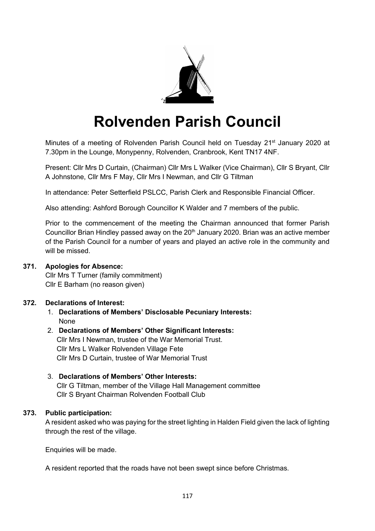

# **Rolvenden Parish Council**

Minutes of a meeting of Rolvenden Parish Council held on Tuesday 21<sup>st</sup> January 2020 at 7.30pm in the Lounge, Monypenny, Rolvenden, Cranbrook, Kent TN17 4NF.

Present: Cllr Mrs D Curtain, (Chairman) Cllr Mrs L Walker (Vice Chairman), Cllr S Bryant, Cllr A Johnstone, Cllr Mrs F May, Cllr Mrs I Newman, and Cllr G Tiltman

In attendance: Peter Setterfield PSLCC, Parish Clerk and Responsible Financial Officer.

Also attending: Ashford Borough Councillor K Walder and 7 members of the public.

Prior to the commencement of the meeting the Chairman announced that former Parish Councillor Brian Hindley passed away on the 20<sup>th</sup> January 2020. Brian was an active member of the Parish Council for a number of years and played an active role in the community and will be missed.

#### **371. Apologies for Absence:**

Cllr Mrs T Turner (family commitment) Cllr E Barham (no reason given)

## **372. Declarations of Interest:**

- 1. **Declarations of Members' Disclosable Pecuniary Interests:** None
- 2. **Declarations of Members' Other Significant Interests:** Cllr Mrs I Newman, trustee of the War Memorial Trust. Cllr Mrs L Walker Rolvenden Village Fete Cllr Mrs D Curtain, trustee of War Memorial Trust
- 3. **Declarations of Members' Other Interests:** Cllr G Tiltman, member of the Village Hall Management committee Cllr S Bryant Chairman Rolvenden Football Club

## **373. Public participation:**

A resident asked who was paying for the street lighting in Halden Field given the lack of lighting through the rest of the village.

Enquiries will be made.

A resident reported that the roads have not been swept since before Christmas.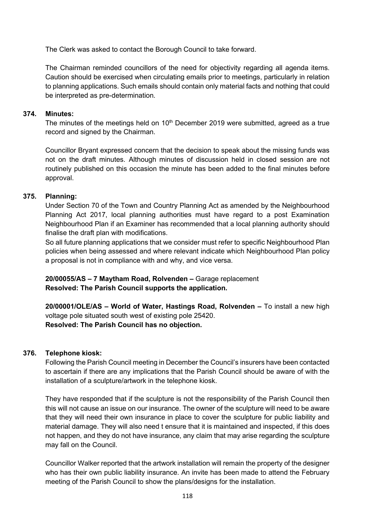The Clerk was asked to contact the Borough Council to take forward.

The Chairman reminded councillors of the need for objectivity regarding all agenda items. Caution should be exercised when circulating emails prior to meetings, particularly in relation to planning applications. Such emails should contain only material facts and nothing that could be interpreted as pre-determination.

#### **374. Minutes:**

The minutes of the meetings held on  $10<sup>th</sup>$  December 2019 were submitted, agreed as a true record and signed by the Chairman.

Councillor Bryant expressed concern that the decision to speak about the missing funds was not on the draft minutes. Although minutes of discussion held in closed session are not routinely published on this occasion the minute has been added to the final minutes before approval.

## **375. Planning:**

Under Section 70 of the Town and Country Planning Act as amended by the Neighbourhood Planning Act 2017, local planning authorities must have regard to a post Examination Neighbourhood Plan if an Examiner has recommended that a local planning authority should finalise the draft plan with modifications.

So all future planning applications that we consider must refer to specific Neighbourhood Plan policies when being assessed and where relevant indicate which Neighbourhood Plan policy a proposal is not in compliance with and why, and vice versa.

**20/00055/AS – 7 Maytham Road, Rolvenden –** Garage replacement **Resolved: The Parish Council supports the application.**

**20/00001/OLE/AS – World of Water, Hastings Road, Rolvenden –** To install a new high voltage pole situated south west of existing pole 25420. **Resolved: The Parish Council has no objection.**

#### **376. Telephone kiosk:**

Following the Parish Council meeting in December the Council's insurers have been contacted to ascertain if there are any implications that the Parish Council should be aware of with the installation of a sculpture/artwork in the telephone kiosk.

They have responded that if the sculpture is not the responsibility of the Parish Council then this will not cause an issue on our insurance. The owner of the sculpture will need to be aware that they will need their own insurance in place to cover the sculpture for public liability and material damage. They will also need t ensure that it is maintained and inspected, if this does not happen, and they do not have insurance, any claim that may arise regarding the sculpture may fall on the Council.

Councillor Walker reported that the artwork installation will remain the property of the designer who has their own public liability insurance. An invite has been made to attend the February meeting of the Parish Council to show the plans/designs for the installation.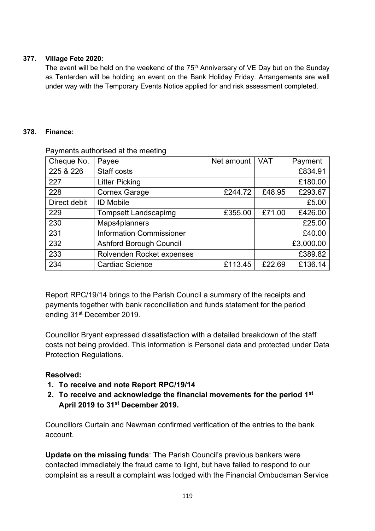## **377. Village Fete 2020:**

The event will be held on the weekend of the  $75<sup>th</sup>$  Anniversary of VE Day but on the Sunday as Tenterden will be holding an event on the Bank Holiday Friday. Arrangements are well under way with the Temporary Events Notice applied for and risk assessment completed.

## **378. Finance:**

| Cheque No.   | Payee                           | Net amount | <b>VAT</b> | Payment   |
|--------------|---------------------------------|------------|------------|-----------|
| 225 & 226    | Staff costs                     |            |            | £834.91   |
| 227          | <b>Litter Picking</b>           |            |            | £180.00   |
| 228          | <b>Cornex Garage</b>            | £244.72    | £48.95     | £293.67   |
| Direct debit | <b>ID Mobile</b>                |            |            | £5.00     |
| 229          | <b>Tompsett Landscapimg</b>     | £355.00    | £71.00     | £426.00   |
| 230          | Maps4planners                   |            |            | £25.00    |
| 231          | <b>Information Commissioner</b> |            |            | £40.00    |
| 232          | <b>Ashford Borough Council</b>  |            |            | £3,000.00 |
| 233          | Rolvenden Rocket expenses       |            |            | £389.82   |
| 234          | <b>Cardiac Science</b>          | £113.45    | £22.69     | £136.14   |

Payments authorised at the meeting

Report RPC/19/14 brings to the Parish Council a summary of the receipts and payments together with bank reconciliation and funds statement for the period ending 31<sup>st</sup> December 2019.

Councillor Bryant expressed dissatisfaction with a detailed breakdown of the staff costs not being provided. This information is Personal data and protected under Data Protection Regulations.

# **Resolved:**

- **1. To receive and note Report RPC/19/14**
- **2. To receive and acknowledge the financial movements for the period 1st April 2019 to 31st December 2019.**

Councillors Curtain and Newman confirmed verification of the entries to the bank account.

**Update on the missing funds**: The Parish Council's previous bankers were contacted immediately the fraud came to light, but have failed to respond to our complaint as a result a complaint was lodged with the Financial Ombudsman Service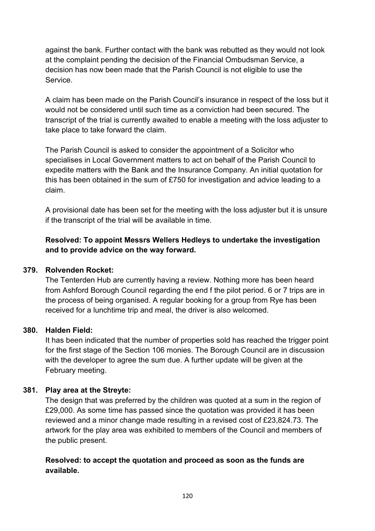against the bank. Further contact with the bank was rebutted as they would not look at the complaint pending the decision of the Financial Ombudsman Service, a decision has now been made that the Parish Council is not eligible to use the Service.

A claim has been made on the Parish Council's insurance in respect of the loss but it would not be considered until such time as a conviction had been secured. The transcript of the trial is currently awaited to enable a meeting with the loss adjuster to take place to take forward the claim.

The Parish Council is asked to consider the appointment of a Solicitor who specialises in Local Government matters to act on behalf of the Parish Council to expedite matters with the Bank and the Insurance Company. An initial quotation for this has been obtained in the sum of £750 for investigation and advice leading to a claim.

A provisional date has been set for the meeting with the loss adjuster but it is unsure if the transcript of the trial will be available in time.

# **Resolved: To appoint Messrs Wellers Hedleys to undertake the investigation and to provide advice on the way forward.**

# **379. Rolvenden Rocket:**

The Tenterden Hub are currently having a review. Nothing more has been heard from Ashford Borough Council regarding the end f the pilot period. 6 or 7 trips are in the process of being organised. A regular booking for a group from Rye has been received for a lunchtime trip and meal, the driver is also welcomed.

# **380. Halden Field:**

It has been indicated that the number of properties sold has reached the trigger point for the first stage of the Section 106 monies. The Borough Council are in discussion with the developer to agree the sum due. A further update will be given at the February meeting.

# **381. Play area at the Streyte:**

The design that was preferred by the children was quoted at a sum in the region of £29,000. As some time has passed since the quotation was provided it has been reviewed and a minor change made resulting in a revised cost of £23,824.73. The artwork for the play area was exhibited to members of the Council and members of the public present.

# **Resolved: to accept the quotation and proceed as soon as the funds are available.**